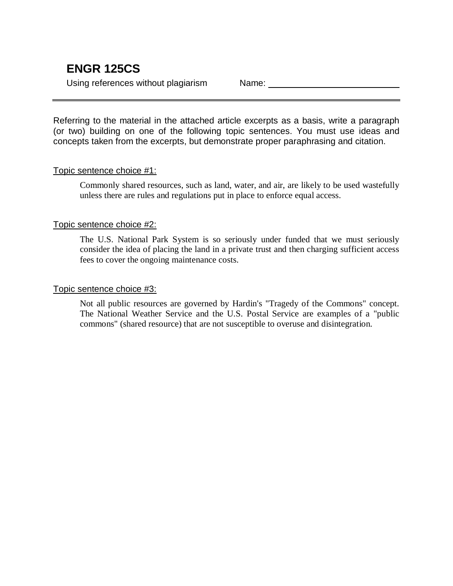Using references without plagiarism Name: Name:

Referring to the material in the attached article excerpts as a basis, write a paragraph (or two) building on one of the following topic sentences. You must use ideas and concepts taken from the excerpts, but demonstrate proper paraphrasing and citation.

# Topic sentence choice #1:

Commonly shared resources, such as land, water, and air, are likely to be used wastefully unless there are rules and regulations put in place to enforce equal access.

## Topic sentence choice #2:

The U.S. National Park System is so seriously under funded that we must seriously consider the idea of placing the land in a private trust and then charging sufficient access fees to cover the ongoing maintenance costs.

## Topic sentence choice #3:

Not all public resources are governed by Hardin's "Tragedy of the Commons" concept. The National Weather Service and the U.S. Postal Service are examples of a "public commons" (shared resource) that are not susceptible to overuse and disintegration.